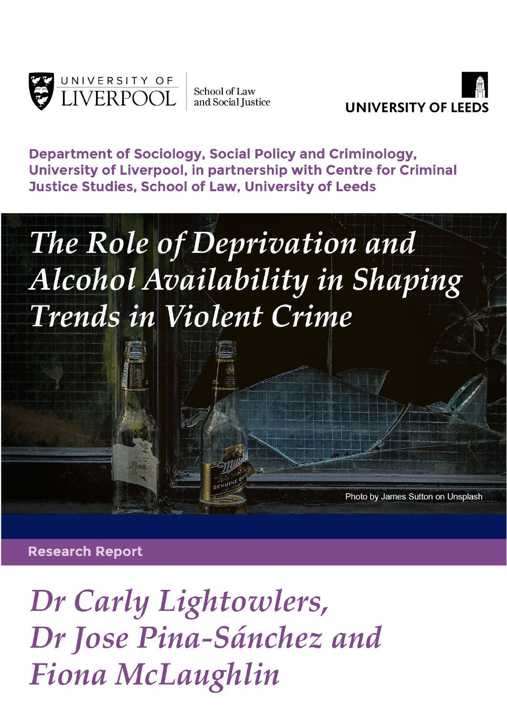

School of Law and Social Justice



Photo by James Sutton on Unsplash

**Department of Sociology, Social Policy and Criminology,** University of Liverpool, in partnership with Centre for Criminal **Justice Studies, School of Law, University of Leeds** 

# The Role of Deprivation and Alcohol Availability in Shaping Trends in Violent Crime

**Research Report** 

Dr Carly Lightowlers, Dr Jose Pina-Sánchez and **Fiona McLaughlin**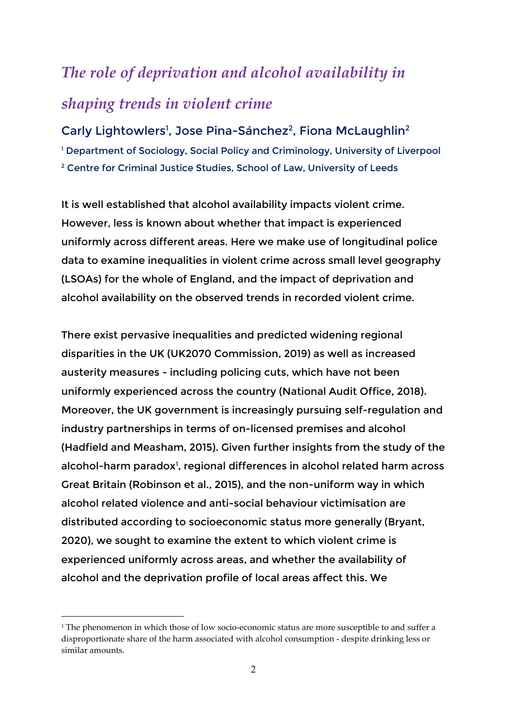## *The role of deprivation and alcohol availability in*

### *shaping trends in violent crime*

#### Carly Lightowlers<sup>1</sup>, Jose Pina-Sánchez<sup>2</sup>, Fiona McLaughlin<sup>2</sup>

<sup>1</sup> Department of Sociology, Social Policy and Criminology, University of Liverpool <sup>2</sup> Centre for Criminal Justice Studies, School of Law, University of Leeds

It is well established that alcohol availability impacts violent crime. However, less is known about whether that impact is experienced uniformly across different areas. Here we make use of longitudinal police data to examine inequalities in violent crime across small level geography (LSOAs) for the whole of England, and the impact of deprivation and alcohol availability on the observed trends in recorded violent crime.

There exist pervasive inequalities and predicted widening regional disparities in the UK (UK2070 Commission, 2019) as well as increased austerity measures - including policing cuts, which have not been uniformly experienced across the country (National Audit Office, 2018). Moreover, the UK government is increasingly pursuing self-regulation and industry partnerships in terms of on-licensed premises and alcohol (Hadfield and Measham, 2015). Given further insights from the study of the alcohol-harm paradox<sup>[1](#page-1-0)</sup>, regional differences in alcohol related harm across Great Britain (Robinson et al., 2015), and the non-uniform way in which alcohol related violence and anti-social behaviour victimisation are distributed according to socioeconomic status more generally (Bryant, 2020), we sought to examine the extent to which violent crime is experienced uniformly across areas, and whether the availability of alcohol and the deprivation profile of local areas affect this. We

<u>.</u>

<span id="page-1-0"></span><sup>&</sup>lt;sup>1</sup> The phenomenon in which those of low socio-economic status are more susceptible to and suffer a disproportionate share of the harm associated with alcohol consumption - despite drinking less or similar amounts.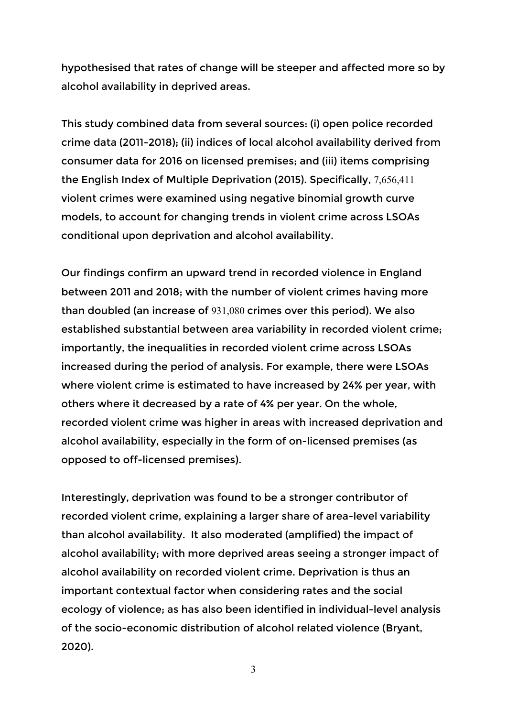hypothesised that rates of change will be steeper and affected more so by alcohol availability in deprived areas.

This study combined data from several sources: (i) open police recorded crime data (2011-2018); (ii) indices of local alcohol availability derived from consumer data for 2016 on licensed premises; and (iii) items comprising the English Index of Multiple Deprivation (2015). Specifically, 7,656,411 violent crimes were examined using negative binomial growth curve models, to account for changing trends in violent crime across LSOAs conditional upon deprivation and alcohol availability.

Our findings confirm an upward trend in recorded violence in England between 2011 and 2018; with the number of violent crimes having more than doubled (an increase of 931,080 crimes over this period). We also established substantial between area variability in recorded violent crime; importantly, the inequalities in recorded violent crime across LSOAs increased during the period of analysis. For example, there were LSOAs where violent crime is estimated to have increased by 24% per year, with others where it decreased by a rate of 4% per year. On the whole, recorded violent crime was higher in areas with increased deprivation and alcohol availability, especially in the form of on-licensed premises (as opposed to off-licensed premises).

Interestingly, deprivation was found to be a stronger contributor of recorded violent crime, explaining a larger share of area-level variability than alcohol availability. It also moderated (amplified) the impact of alcohol availability; with more deprived areas seeing a stronger impact of alcohol availability on recorded violent crime. Deprivation is thus an important contextual factor when considering rates and the social ecology of violence; as has also been identified in individual-level analysis of the socio-economic distribution of alcohol related violence (Bryant, 2020).

3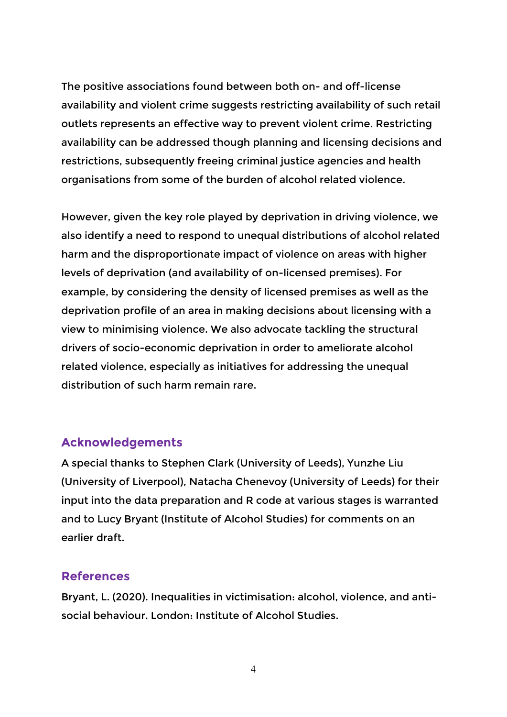The positive associations found between both on- and off-license availability and violent crime suggests restricting availability of such retail outlets represents an effective way to prevent violent crime. Restricting availability can be addressed though planning and licensing decisions and restrictions, subsequently freeing criminal justice agencies and health organisations from some of the burden of alcohol related violence.

However, given the key role played by deprivation in driving violence, we also identify a need to respond to unequal distributions of alcohol related harm and the disproportionate impact of violence on areas with higher levels of deprivation (and availability of on-licensed premises). For example, by considering the density of licensed premises as well as the deprivation profile of an area in making decisions about licensing with a view to minimising violence. We also advocate tackling the structural drivers of socio-economic deprivation in order to ameliorate alcohol related violence, especially as initiatives for addressing the unequal distribution of such harm remain rare.

#### **Acknowledgements**

A special thanks to Stephen Clark (University of Leeds), Yunzhe Liu (University of Liverpool), Natacha Chenevoy (University of Leeds) for their input into the data preparation and R code at various stages is warranted and to Lucy Bryant (Institute of Alcohol Studies) for comments on an earlier draft.

#### **References**

Bryant, L. (2020). Inequalities in victimisation: alcohol, violence, and antisocial behaviour. London: Institute of Alcohol Studies.

4